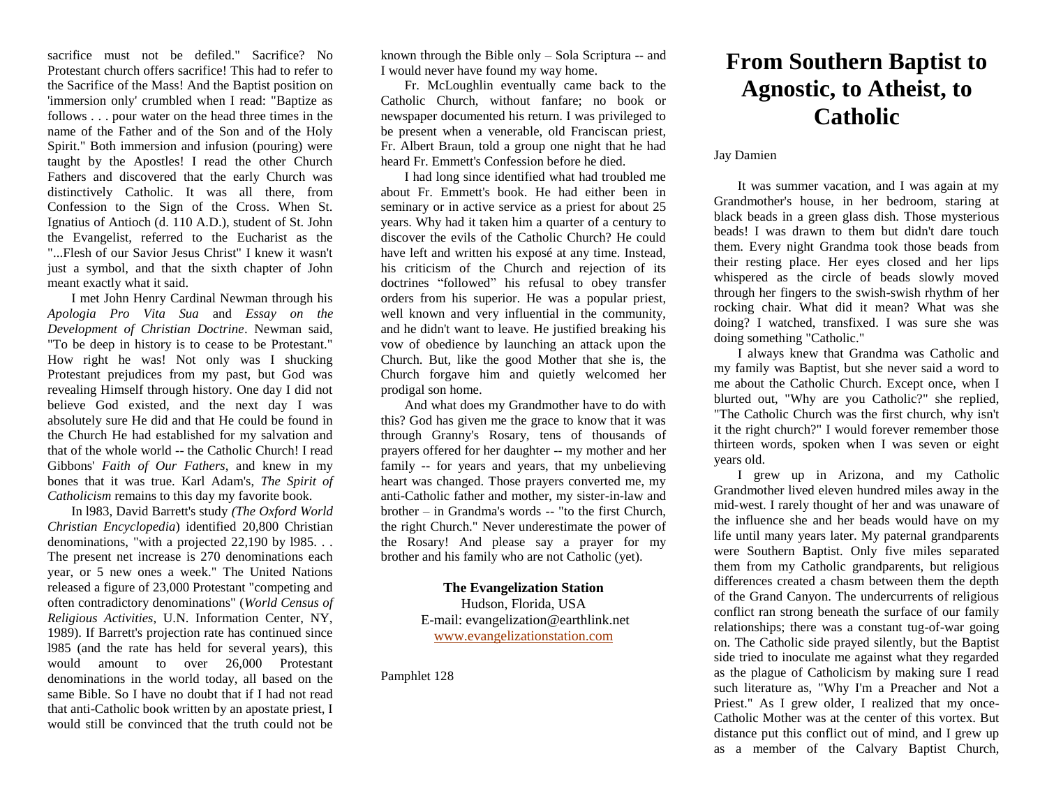sacrifice must not be defiled." Sacrifice? No Protestant church offers sacrifice! This had to refer to the Sacrifice of the Mass! And the Baptist position on 'immersion only' crumbled when I read: "Baptize as follows . . . pour water on the head three times in the name of the Father and of the Son and of the Holy Spirit." Both immersion and infusion (pouring) were taught by the Apostles! I read the other Church Fathers and discovered that the early Church was distinctively Catholic. It was all there, from Confession to the Sign of the Cross. When St. Ignatius of Antioch (d. 110 A.D.), student of St. John the Evangelist, referred to the Eucharist as the "...Flesh of our Savior Jesus Christ" I knew it wasn't just a symbol, and that the sixth chapter of John meant exactly what it said.

I met John Henry Cardinal Newman through his *Apologia Pro Vita Sua* and *Essay on the Development of Christian Doctrine*. Newman said, "To be deep in history is to cease to be Protestant." How right he was! Not only was I shucking Protestant prejudices from my past, but God was revealing Himself through history. One day I did not believe God existed, and the next day I was absolutely sure He did and that He could be found in the Church He had established for my salvation and that of the whole world -- the Catholic Church! I read Gibbons' *Faith of Our Fathers*, and knew in my bones that it was true. Karl Adam's, *The Spirit of Catholicism* remains to this day my favorite book.

In l983, David Barrett's study *(The Oxford World Christian Encyclopedia*) identified 20,800 Christian denominations, "with a projected 22,190 by l985. . . The present net increase is 270 denominations each year, or 5 new ones a week." The United Nations released a figure of 23,000 Protestant "competing and often contradictory denominations" (*World Census of Religious Activities*, U.N. Information Center, NY, 1989). If Barrett's projection rate has continued since l985 (and the rate has held for several years), this would amount to over 26,000 Protestant denominations in the world today, all based on the same Bible. So I have no doubt that if I had not read that anti-Catholic book written by an apostate priest, I would still be convinced that the truth could not be

known through the Bible only – Sola Scriptura -- and I would never have found my way home.

Fr. McLoughlin eventually came back to the Catholic Church, without fanfare; no book or newspaper documented his return. I was privileged to be present when a venerable, old Franciscan priest, Fr. Albert Braun, told a group one night that he had heard Fr. Emmett's Confession before he died.

I had long since identified what had troubled me about Fr. Emmett's book. He had either been in seminary or in active service as a priest for about 25 years. Why had it taken him a quarter of a century to discover the evils of the Catholic Church? He could have left and written his exposé at any time. Instead, his criticism of the Church and rejection of its doctrines "followed" his refusal to obey transfer orders from his superior. He was a popular priest, well known and very influential in the community, and he didn't want to leave. He justified breaking his vow of obedience by launching an attack upon the Church. But, like the good Mother that she is, the Church forgave him and quietly welcomed her prodigal son home.

And what does my Grandmother have to do with this? God has given me the grace to know that it was through Granny's Rosary, tens of thousands of prayers offered for her daughter -- my mother and her family -- for years and years, that my unbelieving heart was changed. Those prayers converted me, my anti-Catholic father and mother, my sister-in-law and brother – in Grandma's words -- "to the first Church, the right Church." Never underestimate the power of the Rosary! And please say a prayer for my brother and his family who are not Catholic (yet).

> **The Evangelization Station** Hudson, Florida, USA E-mail: evangelization@earthlink.net [www.evangelizationstation.com](http://www.pjpiisoe.org/)

Pamphlet 128

## **From Southern Baptist to Agnostic, to Atheist, to Catholic**

## Jay Damien

It was summer vacation, and I was again at my Grandmother's house, in her bedroom, staring at black beads in a green glass dish. Those mysterious beads! I was drawn to them but didn't dare touch them. Every night Grandma took those beads from their resting place. Her eyes closed and her lips whispered as the circle of beads slowly moved through her fingers to the swish-swish rhythm of her rocking chair. What did it mean? What was she doing? I watched, transfixed. I was sure she was doing something "Catholic."

I always knew that Grandma was Catholic and my family was Baptist, but she never said a word to me about the Catholic Church. Except once, when I blurted out, "Why are you Catholic?" she replied, "The Catholic Church was the first church, why isn't it the right church?" I would forever remember those thirteen words, spoken when I was seven or eight years old.

I grew up in Arizona, and my Catholic Grandmother lived eleven hundred miles away in the mid-west. I rarely thought of her and was unaware of the influence she and her beads would have on my life until many years later. My paternal grandparents were Southern Baptist. Only five miles separated them from my Catholic grandparents, but religious differences created a chasm between them the depth of the Grand Canyon. The undercurrents of religious conflict ran strong beneath the surface of our family relationships; there was a constant tug-of-war going on. The Catholic side prayed silently, but the Baptist side tried to inoculate me against what they regarded as the plague of Catholicism by making sure I read such literature as, "Why I'm a Preacher and Not a Priest." As I grew older, I realized that my once-Catholic Mother was at the center of this vortex. But distance put this conflict out of mind, and I grew up as a member of the Calvary Baptist Church,